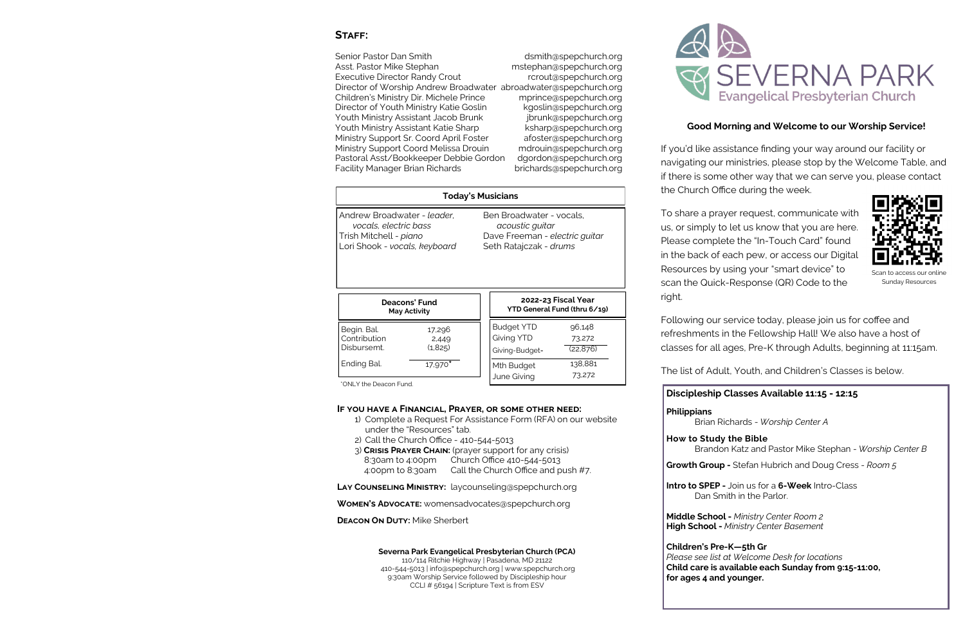## STAFF:

Senior Pastor Dan Smith der desertion of the distribution of the Senior Pastor Dan Smith Asst. Pastor Mike Stephan mstephan mstephan mstephan mstephan mstephan na mstephan na matematic metamore na m Executive Director Randy Crout research rerout@spepchurch.org Director of Worship Andrew Broadwater abroadwater@spepchurch.org Children's Ministry Dir. Michele Prince mprince@spepchurch.org Director of Youth Ministry Katie Goslin kgoslin@spepchurch.org Youth Ministry Assistant Jacob Brunk interventional province is a proportional vertex or province is vertex ve Youth Ministry Assistant Katie Sharp ksharp@spepchurch.org Ministry Support Sr. Coord April Foster afoster@spepchurch.org Ministry Support Coord Melissa Drouin mdrouin@spepchurch.org Pastoral Asst/Bookkeeper Debbie Gordon dgordon@spepchurch.org Facility Manager Brian Richards brichards brichards brichards bright bright product bright and the Facility Manager

#### **Severna Park Evangelical Presbyterian Church (PCA)**

110/114 Ritchie Highway | Pasadena, MD 21122 410-544-5013 | info@spepchurch.org | www.spepchurch.org 9:30am Worship Service followed by Discipleship hour CCLI # 56194 | Scripture Text is from ESV



# **Good Morning and Welcome to our Worship Service!**

If you'd like assistance finding your way around our facility or navigating our ministries, please stop by the Welcome Table, and if there is some other way that we can serve you, please contact the Church Office during the week.

To share a prayer request, communicate with us, or simply to let us know that you are here. Please complete the "In-Touch Card" found in the back of each pew, or access our Digital Resources by using your "smart device" to scan the Quick-Response (QR) Code to the

right.

Following our service today, please join us for coffee and refreshments in the Fellowship Hall! We also have a host of classes for all ages, Pre-K through Adults, beginning at 11:15am.

The list of Adult, Youth, and Children's Classes is below.

## **Discipleship Classes Available 11:15 - 12:15**

**Philippians** Brian Richards - *Worship Center A*

**How to Study the Bible** Brandon Katz and Pastor Mike Stephan - *Worship Center B*

**Growth Group -** Stefan Hubrich and Doug Cress - *Room 5*

**Intro to SPEP -** Join us for a **6-Week** Intro-Class Dan Smith in the Parlor.

**Middle School -** *Ministry Center Room 2* **High School -** *Ministry Center Basement*



**Children's Pre-K—5th Gr**  *Please see list at Welcome Desk for locations* **Child care is available each Sunday from 9:15-11:00, for ages 4 and younger.** 



Scan to access our online Sunday Resources

## **If you have a Financial, Prayer, or some other need:**

| <b>Today's Musicians</b>                                                                                               |                            |  |                                                                                                         |                               |  |
|------------------------------------------------------------------------------------------------------------------------|----------------------------|--|---------------------------------------------------------------------------------------------------------|-------------------------------|--|
| Andrew Broadwater - leader,<br>vocals, electric bass<br>Trish Mitchell - <i>piano</i><br>Lori Shook - vocals, keyboard |                            |  | Ben Broadwater - vocals,<br>acoustic guitar<br>Dave Freeman - electric quitar<br>Seth Ratajczak - drums |                               |  |
| Deacons' Fund<br><b>May Activity</b>                                                                                   |                            |  | 2022-23 Fiscal Year<br>YTD General Fund (thru 6/19)                                                     |                               |  |
| Begin. Bal.<br>Contribution<br>Disbursemt.                                                                             | 17,296<br>2,449<br>(1,825) |  | <b>Budget YTD</b><br><b>Giving YTD</b><br>Giving-Budget=                                                | 96,148<br>73,272<br>(22, 876) |  |
| Ending Bal.                                                                                                            | 17,970*                    |  | Mth Budget<br>June Giving                                                                               | 138,881<br>73,272             |  |
| *ONLY the Deacon Fund.                                                                                                 |                            |  |                                                                                                         |                               |  |

- 1) Complete a Request For Assistance Form (RFA) on our website under the "Resources" tab.
- 2) Call the Church Office 410-544-5013
- 3) **Crisis Prayer Chain:** (prayer support for any crisis) 8:30am to 4:00pm Church Office 410-544-5013 4:00pm to 8:30am Call the Church Office and push #7.

**Lay Counseling Ministry:** laycounseling@spepchurch.org

**Women's Advocate:** womensadvocates@spepchurch.org

**DEACON ON DUTY: Mike Sherbert**